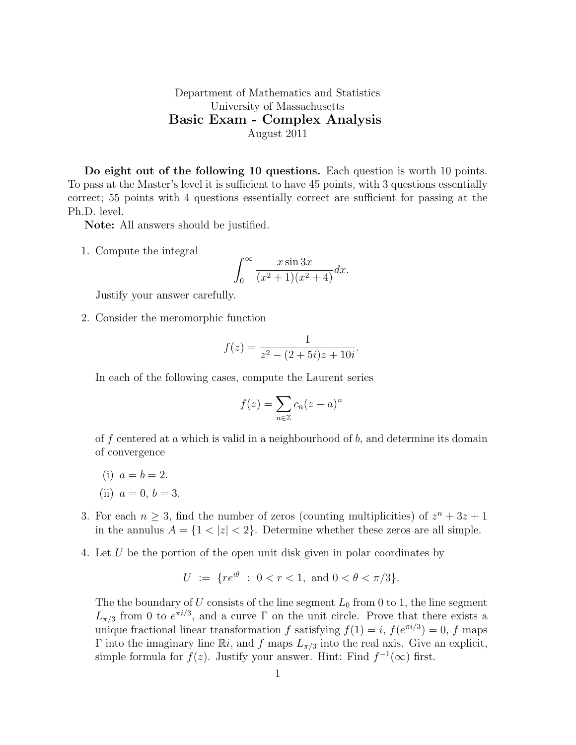## Department of Mathematics and Statistics University of Massachusetts Basic Exam - Complex Analysis August 2011

Do eight out of the following 10 questions. Each question is worth 10 points. To pass at the Master's level it is sufficient to have 45 points, with 3 questions essentially correct; 55 points with 4 questions essentially correct are sufficient for passing at the Ph.D. level.

Note: All answers should be justified.

1. Compute the integral

$$
\int_0^\infty \frac{x \sin 3x}{(x^2+1)(x^2+4)} dx.
$$

Justify your answer carefully.

2. Consider the meromorphic function

$$
f(z) = \frac{1}{z^2 - (2 + 5i)z + 10i}.
$$

In each of the following cases, compute the Laurent series

$$
f(z) = \sum_{n \in \mathbb{Z}} c_n (z - a)^n
$$

of f centered at a which is valid in a neighbourhood of  $b$ , and determine its domain of convergence

(i)  $a = b = 2$ .

(ii) 
$$
a = 0, b = 3.
$$

- 3. For each  $n \geq 3$ , find the number of zeros (counting multiplicities) of  $z<sup>n</sup> + 3z + 1$ in the annulus  $A = \{1 < |z| < 2\}$ . Determine whether these zeros are all simple.
- 4. Let U be the portion of the open unit disk given in polar coordinates by

$$
U := \{ re^{i\theta} : 0 < r < 1, \text{ and } 0 < \theta < \pi/3 \}.
$$

The the boundary of  $U$  consists of the line segment  $L_0$  from 0 to 1, the line segment  $L_{\pi/3}$  from 0 to  $e^{\pi i/3}$ , and a curve  $\Gamma$  on the unit circle. Prove that there exists a unique fractional linear transformation f satisfying  $f(1) = i$ ,  $f(e^{\pi i/3}) = 0$ , f maps Γ into the imaginary line Ri, and f maps  $L_{\pi/3}$  into the real axis. Give an explicit, simple formula for  $f(z)$ . Justify your answer. Hint: Find  $f^{-1}(\infty)$  first.